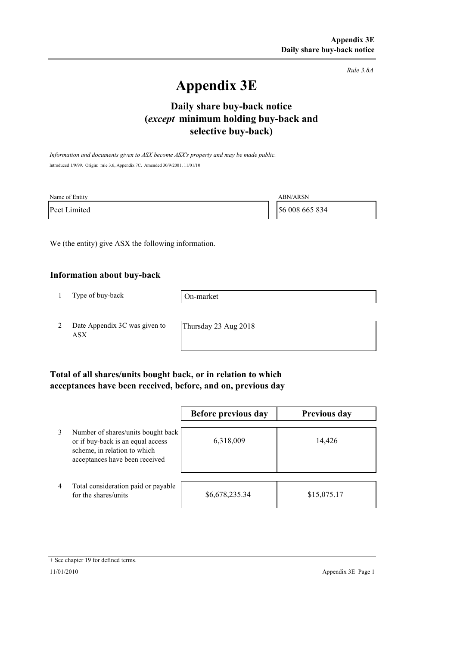*Rule 3.8A*

# **Appendix 3E**

# **selective buy-back) Daily share buy-back notice (***except* **minimum holding buy-back and**

*Information and documents given to ASX become ASX's property and may be made public.* Introduced 1/9/99. Origin: rule 3.6, Appendix 7C. Amended 30/9/2001, 11/01/10

| Name of Entity | <b>ABN/ARSN</b> |
|----------------|-----------------|
| Peet Limited   | 56 008 665 834  |

We (the entity) give ASX the following information.

#### **Information about buy-back**

1 Type of buy-back

On-market

2 Date Appendix 3C was given to ASX

Thursday 23 Aug 2018

### **Total of all shares/units bought back, or in relation to which acceptances have been received, before, and on, previous day**

|   |                                                                                                                                           | Before previous day | <b>Previous day</b> |
|---|-------------------------------------------------------------------------------------------------------------------------------------------|---------------------|---------------------|
| 3 | Number of shares/units bought back<br>or if buy-back is an equal access<br>scheme, in relation to which<br>acceptances have been received | 6,318,009           | 14,426              |
| 4 | Total consideration paid or payable<br>for the shares/units                                                                               | \$6,678,235.34      | \$15,075.17         |

<sup>+</sup> See chapter 19 for defined terms.